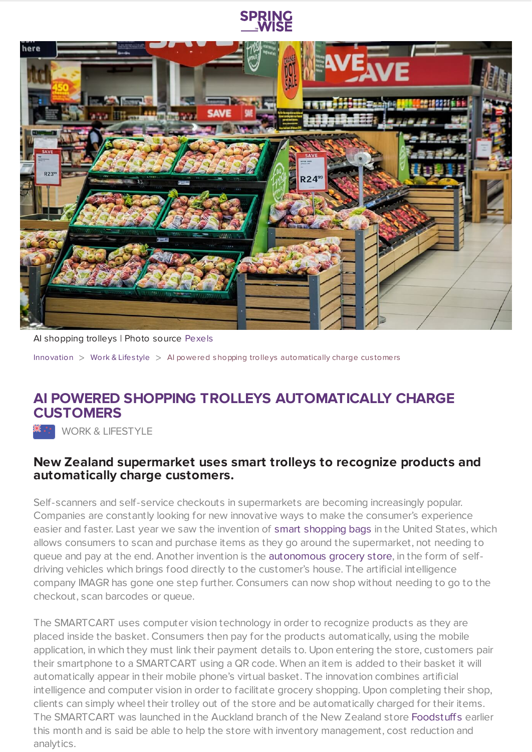



AI shopping trolleys | Photo source [Pexels](https://www.pexels.com/photo/booth-branding-business-buy-264636/)

[Innovation](https://www.springwise.com/search?type=innovation)  $>$  [Work](https://www.springwise.com/search?type=innovation§or=work-lifestyle) & Lifestyle  $>$  AI powered shopping trolleys automatically charge customers

## **AI POWERED SHOPPING TROLLEYS AUTOMATICALLY CHARGE CUSTOMERS**

WORK & LIFESTYLE

## **New Zealand supermarket uses smart trolleys to recognize products and automatically charge customers.**

Self-scanners and self-service checkouts in supermarkets are becoming increasingly popular. Companies are constantly looking for new innovative ways to make the consumer's experience easier and faster. Last year we saw the invention of smart [shopping](https://www.springwise.com/smart-shopping-bag-eliminate-queuing/) bags in the United States, which allows consumers to scan and purchase items as they go around the supermarket, not needing to queue and pay at the end. Another invention is the [autonomous](https://www.springwise.com/autonomous-grocery-store-brings-food-consumers-doorstep/) grocery store, in the form of selfdriving vehicles which brings food directly to the customer's house. The artificial intelligence company IMAGR has gone one step further. Consumers can now shop without needing to go to the checkout, scan barcodes or queue.

The SMARTCART uses computer vision technology in order to recognize products as they are placed inside the basket. Consumers then pay for the products automatically, using the mobile application, in which they must link their payment details to. Upon entering the store, customers pair their smartphone to a SMARTCART using a QR code. When an item is added to their basket it will automatically appear in their mobile phone's virtual basket. The innovation combines artificial intelligence and computer vision in order to facilitate grocery shopping. Upon completing their shop, clients can simply wheel their trolley out of the store and be automatically charged for their items. The SMARTCART was launched in the Auckland branch of the New Zealand store [Foodstuffs](https://www.foodstuffs.co.nz/) earlier this month and is said be able to help the store with inventory management, cost reduction and analytics.